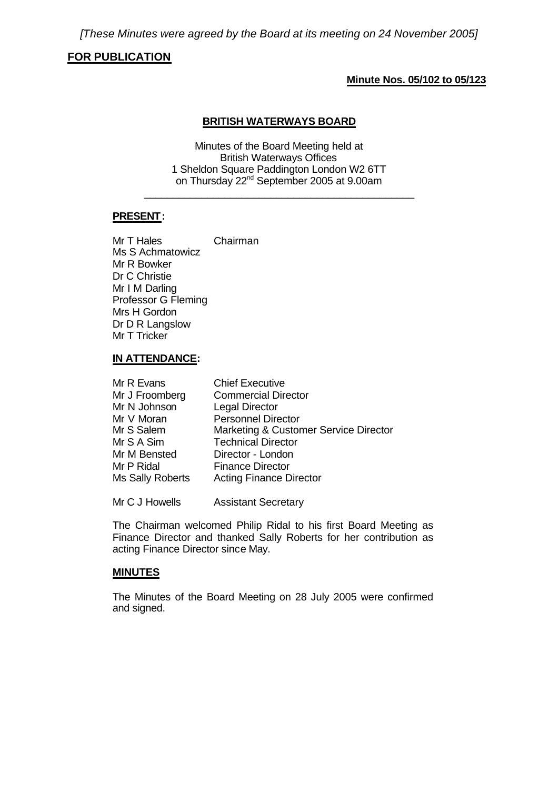# **FOR PUBLICATION**

# **Minute Nos. 05/102 to 05/123**

## **BRITISH WATERWAYS BOARD**

Minutes of the Board Meeting held at British Waterways Offices 1 Sheldon Square Paddington London W2 6TT on Thursday 22nd September 2005 at 9.00am

\_\_\_\_\_\_\_\_\_\_\_\_\_\_\_\_\_\_\_\_\_\_\_\_\_\_\_\_\_\_\_\_\_\_\_\_\_\_\_\_\_\_\_\_\_\_\_

# **PRESENT:**

Mr T Hales Chairman Ms S Achmatowicz Mr R Bowker Dr C Christie Mr I M Darling Professor G Fleming Mrs H Gordon Dr D R Langslow Mr T Tricker

### **IN ATTENDANCE:**

| Mr R Evans       | <b>Chief Executive</b>                |
|------------------|---------------------------------------|
| Mr J Froomberg   | <b>Commercial Director</b>            |
| Mr N Johnson     | <b>Legal Director</b>                 |
| Mr V Moran       | <b>Personnel Director</b>             |
| Mr S Salem       | Marketing & Customer Service Director |
| Mr S A Sim       | <b>Technical Director</b>             |
| Mr M Bensted     | Director - London                     |
| Mr P Ridal       | <b>Finance Director</b>               |
| Ms Sally Roberts | <b>Acting Finance Director</b>        |
|                  |                                       |

Mr C J Howells Assistant Secretary

The Chairman welcomed Philip Ridal to his first Board Meeting as Finance Director and thanked Sally Roberts for her contribution as acting Finance Director since May.

### **MINUTES**

The Minutes of the Board Meeting on 28 July 2005 were confirmed and signed.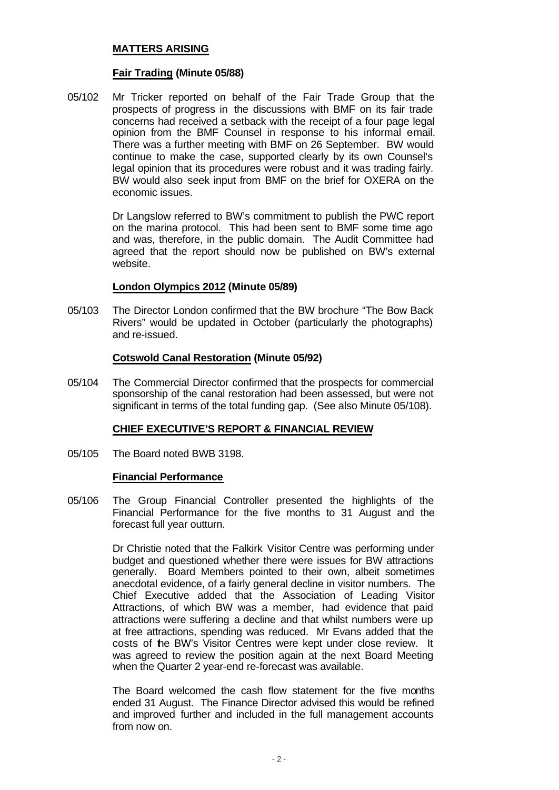## **MATTERS ARISING**

## **Fair Trading (Minute 05/88)**

05/102 Mr Tricker reported on behalf of the Fair Trade Group that the prospects of progress in the discussions with BMF on its fair trade concerns had received a setback with the receipt of a four page legal opinion from the BMF Counsel in response to his informal email. There was a further meeting with BMF on 26 September. BW would continue to make the case, supported clearly by its own Counsel's legal opinion that its procedures were robust and it was trading fairly. BW would also seek input from BMF on the brief for OXERA on the economic issues.

> Dr Langslow referred to BW's commitment to publish the PWC report on the marina protocol. This had been sent to BMF some time ago and was, therefore, in the public domain. The Audit Committee had agreed that the report should now be published on BW's external website.

## **London Olympics 2012 (Minute 05/89)**

05/103 The Director London confirmed that the BW brochure "The Bow Back Rivers" would be updated in October (particularly the photographs) and re-issued.

## **Cotswold Canal Restoration (Minute 05/92)**

05/104 The Commercial Director confirmed that the prospects for commercial sponsorship of the canal restoration had been assessed, but were not significant in terms of the total funding gap. (See also Minute 05/108).

### **CHIEF EXECUTIVE'S REPORT & FINANCIAL REVIEW**

05/105 The Board noted BWB 3198.

### **Financial Performance**

05/106 The Group Financial Controller presented the highlights of the Financial Performance for the five months to 31 August and the forecast full year outturn.

> Dr Christie noted that the Falkirk Visitor Centre was performing under budget and questioned whether there were issues for BW attractions generally. Board Members pointed to their own, albeit sometimes anecdotal evidence, of a fairly general decline in visitor numbers. The Chief Executive added that the Association of Leading Visitor Attractions, of which BW was a member, had evidence that paid attractions were suffering a decline and that whilst numbers were up at free attractions, spending was reduced. Mr Evans added that the costs of the BW's Visitor Centres were kept under close review. It was agreed to review the position again at the next Board Meeting when the Quarter 2 year-end re-forecast was available.

> The Board welcomed the cash flow statement for the five months ended 31 August. The Finance Director advised this would be refined and improved further and included in the full management accounts from now on.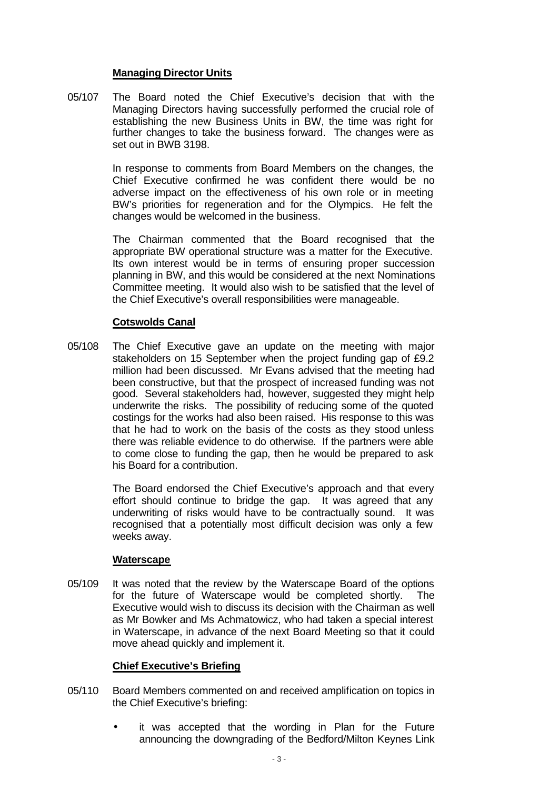## **Managing Director Units**

05/107 The Board noted the Chief Executive's decision that with the Managing Directors having successfully performed the crucial role of establishing the new Business Units in BW, the time was right for further changes to take the business forward. The changes were as set out in BWB 3198.

> In response to comments from Board Members on the changes, the Chief Executive confirmed he was confident there would be no adverse impact on the effectiveness of his own role or in meeting BW's priorities for regeneration and for the Olympics. He felt the changes would be welcomed in the business.

> The Chairman commented that the Board recognised that the appropriate BW operational structure was a matter for the Executive. Its own interest would be in terms of ensuring proper succession planning in BW, and this would be considered at the next Nominations Committee meeting. It would also wish to be satisfied that the level of the Chief Executive's overall responsibilities were manageable.

# **Cotswolds Canal**

05/108 The Chief Executive gave an update on the meeting with major stakeholders on 15 September when the project funding gap of £9.2 million had been discussed. Mr Evans advised that the meeting had been constructive, but that the prospect of increased funding was not good. Several stakeholders had, however, suggested they might help underwrite the risks. The possibility of reducing some of the quoted costings for the works had also been raised. His response to this was that he had to work on the basis of the costs as they stood unless there was reliable evidence to do otherwise. If the partners were able to come close to funding the gap, then he would be prepared to ask his Board for a contribution.

> The Board endorsed the Chief Executive's approach and that every effort should continue to bridge the gap. It was agreed that any underwriting of risks would have to be contractually sound. It was recognised that a potentially most difficult decision was only a few weeks away.

### **Waterscape**

05/109 It was noted that the review by the Waterscape Board of the options for the future of Waterscape would be completed shortly. The Executive would wish to discuss its decision with the Chairman as well as Mr Bowker and Ms Achmatowicz, who had taken a special interest in Waterscape, in advance of the next Board Meeting so that it could move ahead quickly and implement it.

# **Chief Executive's Briefing**

- 05/110 Board Members commented on and received amplification on topics in the Chief Executive's briefing:
	- it was accepted that the wording in Plan for the Future announcing the downgrading of the Bedford/Milton Keynes Link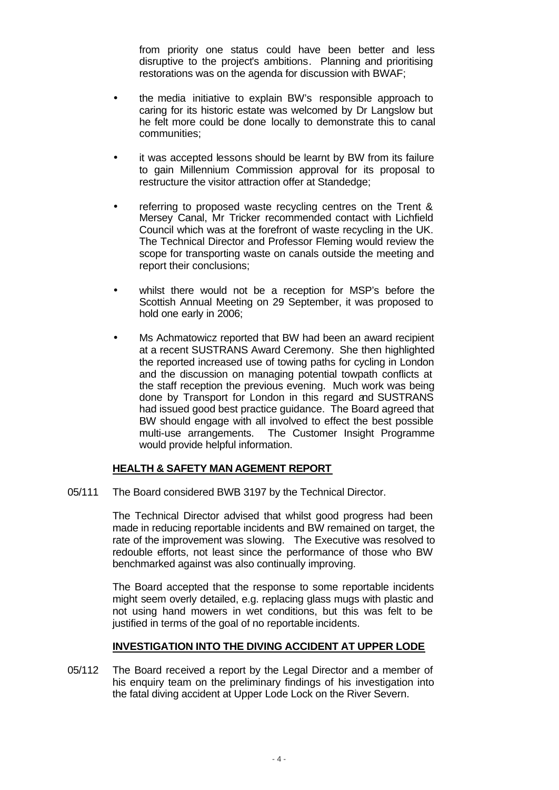from priority one status could have been better and less disruptive to the project's ambitions. Planning and prioritising restorations was on the agenda for discussion with BWAF;

- the media initiative to explain BW's responsible approach to caring for its historic estate was welcomed by Dr Langslow but he felt more could be done locally to demonstrate this to canal communities;
- it was accepted lessons should be learnt by BW from its failure to gain Millennium Commission approval for its proposal to restructure the visitor attraction offer at Standedge;
- referring to proposed waste recycling centres on the Trent & Mersey Canal, Mr Tricker recommended contact with Lichfield Council which was at the forefront of waste recycling in the UK. The Technical Director and Professor Fleming would review the scope for transporting waste on canals outside the meeting and report their conclusions;
- whilst there would not be a reception for MSP's before the Scottish Annual Meeting on 29 September, it was proposed to hold one early in 2006;
- Ms Achmatowicz reported that BW had been an award recipient at a recent SUSTRANS Award Ceremony. She then highlighted the reported increased use of towing paths for cycling in London and the discussion on managing potential towpath conflicts at the staff reception the previous evening. Much work was being done by Transport for London in this regard and SUSTRANS had issued good best practice guidance. The Board agreed that BW should engage with all involved to effect the best possible multi-use arrangements. The Customer Insight Programme would provide helpful information.

# **HEALTH & SAFETY MAN AGEMENT REPORT**

05/111 The Board considered BWB 3197 by the Technical Director.

The Technical Director advised that whilst good progress had been made in reducing reportable incidents and BW remained on target, the rate of the improvement was slowing. The Executive was resolved to redouble efforts, not least since the performance of those who BW benchmarked against was also continually improving.

The Board accepted that the response to some reportable incidents might seem overly detailed, e.g. replacing glass mugs with plastic and not using hand mowers in wet conditions, but this was felt to be justified in terms of the goal of no reportable incidents.

# **INVESTIGATION INTO THE DIVING ACCIDENT AT UPPER LODE**

05/112 The Board received a report by the Legal Director and a member of his enquiry team on the preliminary findings of his investigation into the fatal diving accident at Upper Lode Lock on the River Severn.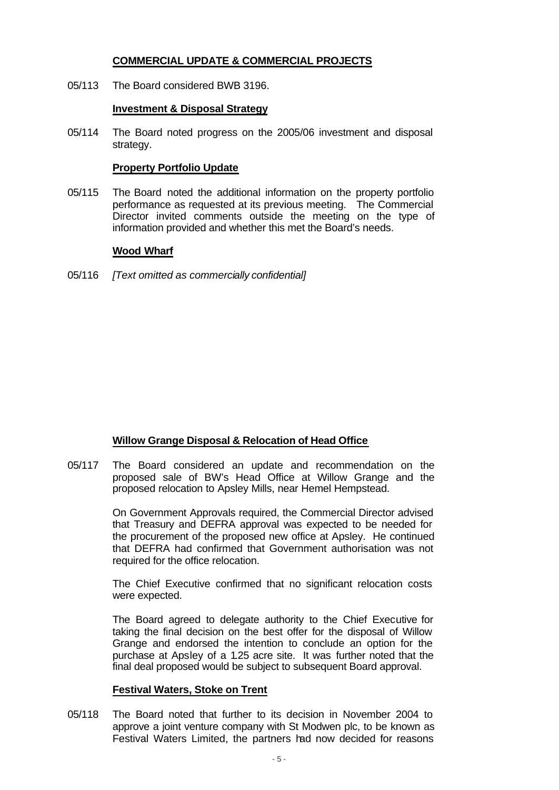# **COMMERCIAL UPDATE & COMMERCIAL PROJECTS**

05/113 The Board considered BWB 3196.

### **Investment & Disposal Strategy**

05/114 The Board noted progress on the 2005/06 investment and disposal strategy.

### **Property Portfolio Update**

05/115 The Board noted the additional information on the property portfolio performance as requested at its previous meeting. The Commercial Director invited comments outside the meeting on the type of information provided and whether this met the Board's needs.

## **Wood Wharf**

05/116 *[Text omitted as commercially confidential]*

# **Willow Grange Disposal & Relocation of Head Office**

05/117 The Board considered an update and recommendation on the proposed sale of BW's Head Office at Willow Grange and the proposed relocation to Apsley Mills, near Hemel Hempstead.

> On Government Approvals required, the Commercial Director advised that Treasury and DEFRA approval was expected to be needed for the procurement of the proposed new office at Apsley. He continued that DEFRA had confirmed that Government authorisation was not required for the office relocation.

> The Chief Executive confirmed that no significant relocation costs were expected.

> The Board agreed to delegate authority to the Chief Executive for taking the final decision on the best offer for the disposal of Willow Grange and endorsed the intention to conclude an option for the purchase at Apsley of a 1.25 acre site. It was further noted that the final deal proposed would be subject to subsequent Board approval.

### **Festival Waters, Stoke on Trent**

05/118 The Board noted that further to its decision in November 2004 to approve a joint venture company with St Modwen plc, to be known as Festival Waters Limited, the partners had now decided for reasons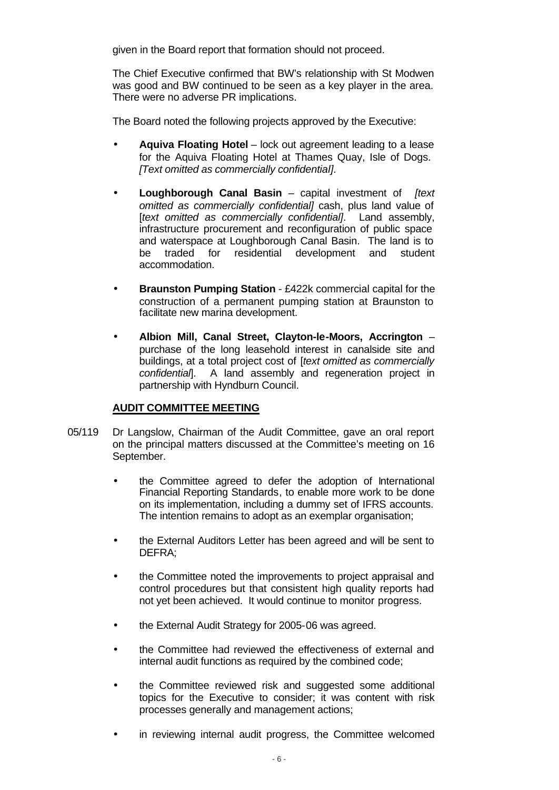given in the Board report that formation should not proceed.

The Chief Executive confirmed that BW's relationship with St Modwen was good and BW continued to be seen as a key player in the area. There were no adverse PR implications.

The Board noted the following projects approved by the Executive:

- **Aquiva Floating Hotel** lock out agreement leading to a lease for the Aquiva Floating Hotel at Thames Quay, Isle of Dogs. *[Text omitted as commercially confidential].*
- **Loughborough Canal Basin** capital investment of *[text omitted as commercially confidential]* cash, plus land value of [*text omitted as commercially confidential]*. Land assembly, infrastructure procurement and reconfiguration of public space and waterspace at Loughborough Canal Basin. The land is to be traded for residential development and student accommodation.
- **Braunston Pumping Station** £422k commercial capital for the construction of a permanent pumping station at Braunston to facilitate new marina development.
- **Albion Mill, Canal Street, Clayton-le-Moors, Accrington** purchase of the long leasehold interest in canalside site and buildings, at a total project cost of [*text omitted as commercially confidential*]. A land assembly and regeneration project in partnership with Hyndburn Council.

# **AUDIT COMMITTEE MEETING**

- 05/119 Dr Langslow, Chairman of the Audit Committee, gave an oral report on the principal matters discussed at the Committee's meeting on 16 September.
	- the Committee agreed to defer the adoption of International Financial Reporting Standards, to enable more work to be done on its implementation, including a dummy set of IFRS accounts. The intention remains to adopt as an exemplar organisation;
	- the External Auditors Letter has been agreed and will be sent to DEFRA;
	- the Committee noted the improvements to project appraisal and control procedures but that consistent high quality reports had not yet been achieved. It would continue to monitor progress.
	- the External Audit Strategy for 2005-06 was agreed.
	- the Committee had reviewed the effectiveness of external and internal audit functions as required by the combined code;
	- the Committee reviewed risk and suggested some additional topics for the Executive to consider; it was content with risk processes generally and management actions;
	- in reviewing internal audit progress, the Committee welcomed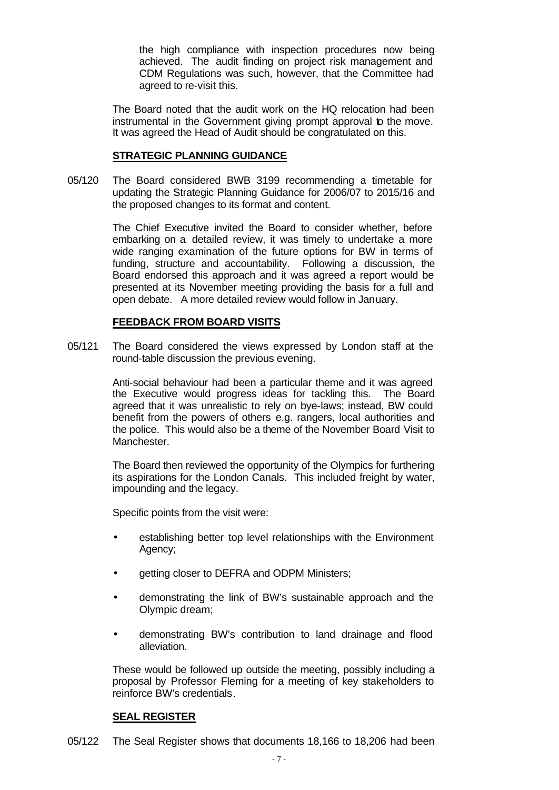the high compliance with inspection procedures now being achieved. The audit finding on project risk management and CDM Regulations was such, however, that the Committee had agreed to re-visit this.

The Board noted that the audit work on the HQ relocation had been instrumental in the Government giving prompt approval to the move. It was agreed the Head of Audit should be congratulated on this.

## **STRATEGIC PLANNING GUIDANCE**

05/120 The Board considered BWB 3199 recommending a timetable for updating the Strategic Planning Guidance for 2006/07 to 2015/16 and the proposed changes to its format and content.

> The Chief Executive invited the Board to consider whether, before embarking on a detailed review, it was timely to undertake a more wide ranging examination of the future options for BW in terms of funding, structure and accountability. Following a discussion, the Board endorsed this approach and it was agreed a report would be presented at its November meeting providing the basis for a full and open debate. A more detailed review would follow in January.

# **FEEDBACK FROM BOARD VISITS**

05/121 The Board considered the views expressed by London staff at the round-table discussion the previous evening.

> Anti-social behaviour had been a particular theme and it was agreed the Executive would progress ideas for tackling this. The Board agreed that it was unrealistic to rely on bye-laws; instead, BW could benefit from the powers of others e.g. rangers, local authorities and the police. This would also be a theme of the November Board Visit to Manchester.

> The Board then reviewed the opportunity of the Olympics for furthering its aspirations for the London Canals. This included freight by water, impounding and the legacy.

Specific points from the visit were:

- establishing better top level relationships with the Environment Agency;
- getting closer to DEFRA and ODPM Ministers;
- demonstrating the link of BW's sustainable approach and the Olympic dream;
- demonstrating BW's contribution to land drainage and flood alleviation.

These would be followed up outside the meeting, possibly including a proposal by Professor Fleming for a meeting of key stakeholders to reinforce BW's credentials.

### **SEAL REGISTER**

05/122 The Seal Register shows that documents 18,166 to 18,206 had been